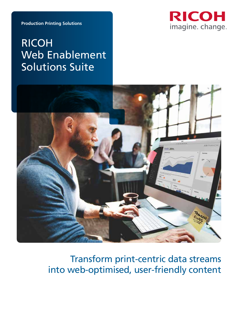

**Production Printing Solutions**

# RICOH Web Enablement Solutions Suite



Transform print-centric data streams into web-optimised, user-friendly content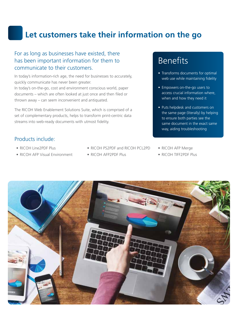## **Let customers take their information on the go**

#### For as long as businesses have existed, there has been important information for them to communicate to their customers.

In today's information-rich age, the need for businesses to accurately, quickly communicate has never been greater. In today's on-the-go, cost and environment conscious world, paper documents – which are often looked at just once and then filed or thrown away – can seem inconvenient and antiquated.

The RICOH Web Enablement Solutions Suite, which is comprised of a set of complementary products, helps to transform print-centric data streams into web-ready documents with utmost fidelity.

#### Products include:

- RICOH Line2PDF Plus
- RICOH AFP Visual Environment
- RICOH PS2PDE and RICOH PCL2PD
- RICOH AFP2PDF Plus

# Benefits

- Transforms documents for optimal web use while maintaining fidelity
- Empowers on-the-go users to access crucial information where, when and how they need it
- Puts helpdesk and customers on the same page (literally) by helping to ensure both parties see the same document in the exact same way, aiding troubleshooting
- RICOH AFP Merge
- RICOH TIFF2PDF Plus

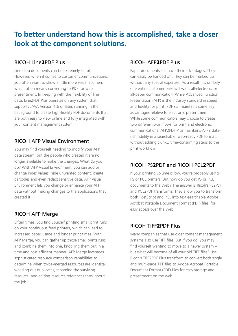### **To better understand how this is accomplished, take a closer look at the component solutions.**

#### RICOH Line2PDF Plus

Line data documents can be extremely simplistic. However, when it comes to customer communications, you often want to show a little more visual acumen, which often means converting to PDF for web presentment. In keeping with the flexibility of line data, Line2PDF Plus operates on any system that supports JAVA Version 1.6 or later, running in the background to create high-fidelity PDF documents that are both easy to view online and fully integrated with your content management system.

#### RICOH AFP Visual Environment

You may find yourself needing to modify your AFP data stream, but the people who created it are no longer available to make the changes. What do you do? With AFP Visual Environment, you can add or change index values, hide unwanted content, create barcodes and even redact sensitive data. AFP Visual Environment lets you change or enhance your AFP data without making changes to the applications that created it.

#### RICOH AFP Merge

Often times, you find yourself printing small print runs on your continuous feed printers, which can lead to increased paper usage and longer print times. With AFP Merge, you can gather up those small prints runs and combine them into one, knocking them out in a time and cost efficient manner. AFP Merge leverages sophisticated resource comparison capabilities to determine when to-be-merged resources are identical, weeding out duplicates, renaming the surviving resource, and editing resource references throughout the job.

#### RICOH AFP2PDF Plus

Paper documents still have their advantages. They can easily be handed off. They can be marked up without any special expertise. As a result, it's unlikely one entire customer base will want all-electronic or all-paper communication. While Advanced Function Presentation (AFP) is the industry standard in speed and fidelity for print, PDF still maintains some key advantages relative to electronic presentment. While some communicators may choose to create two different workflows for print and electronic communications, AFP2PDF Plus maintains AFP's datarich fidelity in a searchable, web-ready PDF format, without adding clunky, time-consuming steps to the print workflow.

#### RICOH PS2PDF and RICOH PCL2PDF

If your printing volume is low, you're probably using PS or PCL printers. But how do you get PS or PCL documents to the Web? The answer is Ricoh's PS2PDF and PCL2PDF transforms. They allow you to transform both PostScript and PCL into text-searchable Adobe Acrobat Portable Document Format (PDF) files, for easy access over the Web.

#### RICOH TIFF2PDF Plus

Many companies that use older content management systems also use TIFF files. But if you do, you may find yourself wanting to move to a newer system – but what will become of all your old TIFF files? Use Ricoh's TIFF2PDF Plus transform to convert both single and multi-page TIFF files to Adobe Acrobat Portable Document Format (PDF) files for easy storage and presentment on the web.